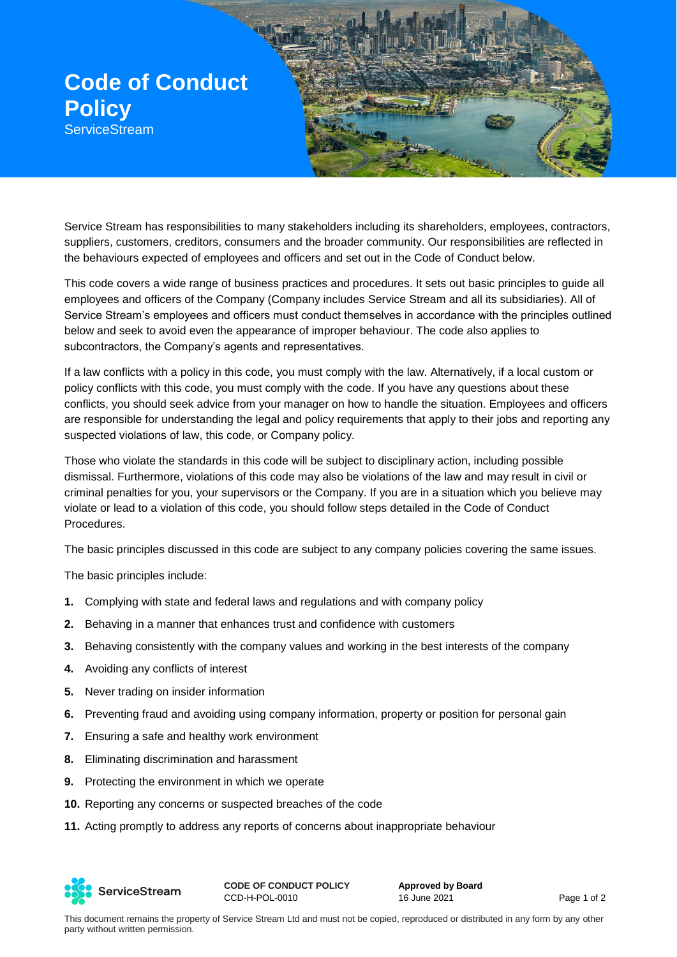

Service Stream has responsibilities to many stakeholders including its shareholders, employees, contractors, suppliers, customers, creditors, consumers and the broader community. Our responsibilities are reflected in the behaviours expected of employees and officers and set out in the Code of Conduct below.

This code covers a wide range of business practices and procedures. It sets out basic principles to guide all employees and officers of the Company (Company includes Service Stream and all its subsidiaries). All of Service Stream's employees and officers must conduct themselves in accordance with the principles outlined below and seek to avoid even the appearance of improper behaviour. The code also applies to subcontractors, the Company's agents and representatives.

If a law conflicts with a policy in this code, you must comply with the law. Alternatively, if a local custom or policy conflicts with this code, you must comply with the code. If you have any questions about these conflicts, you should seek advice from your manager on how to handle the situation. Employees and officers are responsible for understanding the legal and policy requirements that apply to their jobs and reporting any suspected violations of law, this code, or Company policy.

Those who violate the standards in this code will be subject to disciplinary action, including possible dismissal. Furthermore, violations of this code may also be violations of the law and may result in civil or criminal penalties for you, your supervisors or the Company. If you are in a situation which you believe may violate or lead to a violation of this code, you should follow steps detailed in the Code of Conduct Procedures.

The basic principles discussed in this code are subject to any company policies covering the same issues.

The basic principles include:

- **1.** Complying with state and federal laws and regulations and with company policy
- **2.** Behaving in a manner that enhances trust and confidence with customers
- **3.** Behaving consistently with the company values and working in the best interests of the company
- **4.** Avoiding any conflicts of interest
- **5.** Never trading on insider information
- **6.** Preventing fraud and avoiding using company information, property or position for personal gain
- **7.** Ensuring a safe and healthy work environment
- **8.** Eliminating discrimination and harassment
- **9.** Protecting the environment in which we operate
- **10.** Reporting any concerns or suspected breaches of the code
- **11.** Acting promptly to address any reports of concerns about inappropriate behaviour



**CODE OF CONDUCT POLICY** CCD-H-POL-0010

**Approved by Board** 16 June 2021 **Page 1 of 2**